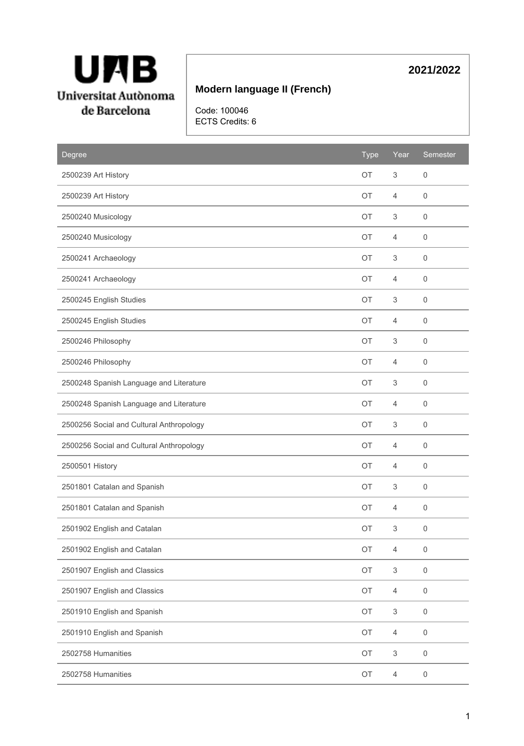

# **Modern language II (French)**

Code: 100046 ECTS Credits: 6

| <b>Degree</b>                            | <b>Type</b> | Year           | Semester            |
|------------------------------------------|-------------|----------------|---------------------|
| 2500239 Art History                      | <b>OT</b>   | 3              | $\mathbf 0$         |
| 2500239 Art History                      | <b>OT</b>   | 4              | 0                   |
| 2500240 Musicology                       | OT          | 3              | $\mathbf 0$         |
| 2500240 Musicology                       | OT          | 4              | $\mathbf 0$         |
| 2500241 Archaeology                      | OT          | 3              | $\mathbf 0$         |
| 2500241 Archaeology                      | OT          | 4              | 0                   |
| 2500245 English Studies                  | <b>OT</b>   | 3              | $\mathbf 0$         |
| 2500245 English Studies                  | OT          | 4              | $\mathsf{O}\xspace$ |
| 2500246 Philosophy                       | OT          | 3              | 0                   |
| 2500246 Philosophy                       | OT          | 4              | 0                   |
| 2500248 Spanish Language and Literature  | <b>OT</b>   | 3              | 0                   |
| 2500248 Spanish Language and Literature  | OT          | 4              | $\mathbf 0$         |
| 2500256 Social and Cultural Anthropology | <b>OT</b>   | 3              | 0                   |
| 2500256 Social and Cultural Anthropology | OT          | 4              | $\mathbf 0$         |
| 2500501 History                          | <b>OT</b>   | 4              | $\mathbf 0$         |
| 2501801 Catalan and Spanish              | OT          | 3              | $\mathbf 0$         |
| 2501801 Catalan and Spanish              | <b>OT</b>   | 4              | $\mathsf{O}\xspace$ |
| 2501902 English and Catalan              | ОT          | 3              | $\mathsf{O}\xspace$ |
| 2501902 English and Catalan              | OT          | $\overline{4}$ | 0                   |
| 2501907 English and Classics             | OT          | 3              | $\mathsf{O}\xspace$ |
| 2501907 English and Classics             | OT          | $\overline{4}$ | $\mathsf{O}\xspace$ |
| 2501910 English and Spanish              | OT          | 3              | $\mathsf{O}\xspace$ |
| 2501910 English and Spanish              | OT          | $\overline{4}$ | $\mathsf{O}\xspace$ |
| 2502758 Humanities                       | OT          | 3              | $\mathsf{O}\xspace$ |
| 2502758 Humanities                       | OT          | $\overline{4}$ | $\mathsf{O}\xspace$ |

# **2021/2022**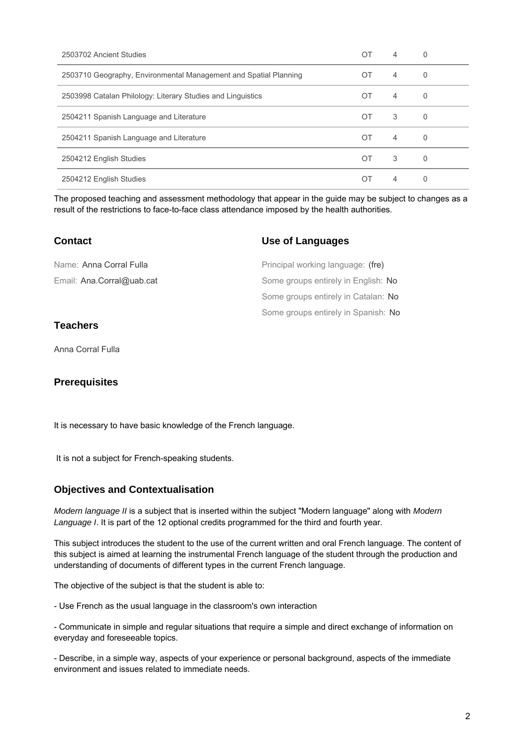| 2503702 Ancient Studies                                          | ОT             | 4 | 0        |
|------------------------------------------------------------------|----------------|---|----------|
| 2503710 Geography, Environmental Management and Spatial Planning | OT             | 4 | 0        |
| 2503998 Catalan Philology: Literary Studies and Linguistics      | OT             | 4 | 0        |
| 2504211 Spanish Language and Literature                          | OT             | 3 | 0        |
| 2504211 Spanish Language and Literature                          | $\overline{O}$ | 4 | $\Omega$ |
| 2504212 English Studies                                          | OT             | 3 | 0        |
| 2504212 English Studies                                          | ОT             | 4 | 0        |

The proposed teaching and assessment methodology that appear in the guide may be subject to changes as a result of the restrictions to face-to-face class attendance imposed by the health authorities.

#### **Contact**

#### **Use of Languages**

| Name: Anna Corral Fulla   | Principal working language: (fre)   |
|---------------------------|-------------------------------------|
| Email: Ana.Corral@uab.cat | Some groups entirely in English: No |
|                           | Some groups entirely in Catalan: No |
|                           | Some groups entirely in Spanish: No |

## **Teachers**

Anna Corral Fulla

### **Prerequisites**

It is necessary to have basic knowledge of the French language.

It is not a subject for French-speaking students.

### **Objectives and Contextualisation**

Modern language II is a subject that is inserted within the subject "Modern language" along with Modern Language I. It is part of the 12 optional credits programmed for the third and fourth year.

This subject introduces the student to the use of the current written and oral French language. The content of this subject is aimed at learning the instrumental French language of the student through the production and understanding of documents of different types in the current French language.

The objective of the subject is that the student is able to:

- Use French as the usual language in the classroom's own interaction

- Communicate in simple and regular situations that require a simple and direct exchange of information on everyday and foreseeable topics.

- Describe, in a simple way, aspects of your experience or personal background, aspects of the immediate environment and issues related to immediate needs.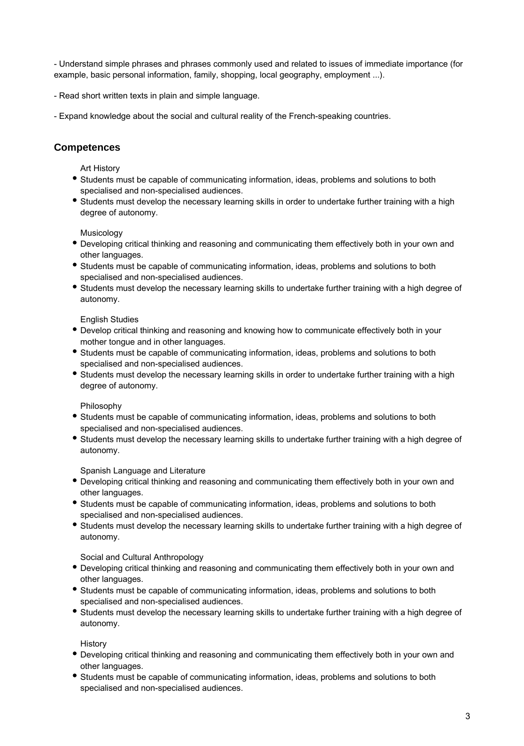- Understand simple phrases and phrases commonly used and related to issues of immediate importance (for example, basic personal information, family, shopping, local geography, employment ...).

- Read short written texts in plain and simple language.
- Expand knowledge about the social and cultural reality of the French-speaking countries.

#### **Competences**

Art History

- Students must be capable of communicating information, ideas, problems and solutions to both specialised and non-specialised audiences.
- Students must develop the necessary learning skills in order to undertake further training with a high degree of autonomy.

Musicology

- Developing critical thinking and reasoning and communicating them effectively both in your own and other languages.
- Students must be capable of communicating information, ideas, problems and solutions to both specialised and non-specialised audiences.
- Students must develop the necessary learning skills to undertake further training with a high degree of autonomy.

English Studies

- Develop critical thinking and reasoning and knowing how to communicate effectively both in your mother tongue and in other languages.
- Students must be capable of communicating information, ideas, problems and solutions to both specialised and non-specialised audiences.
- Students must develop the necessary learning skills in order to undertake further training with a high degree of autonomy.

Philosophy

- Students must be capable of communicating information, ideas, problems and solutions to both specialised and non-specialised audiences.
- Students must develop the necessary learning skills to undertake further training with a high degree of autonomy.

Spanish Language and Literature

- Developing critical thinking and reasoning and communicating them effectively both in your own and other languages.
- Students must be capable of communicating information, ideas, problems and solutions to both specialised and non-specialised audiences.
- Students must develop the necessary learning skills to undertake further training with a high degree of autonomy.

Social and Cultural Anthropology

- Developing critical thinking and reasoning and communicating them effectively both in your own and other languages.
- Students must be capable of communicating information, ideas, problems and solutions to both specialised and non-specialised audiences.
- Students must develop the necessary learning skills to undertake further training with a high degree of autonomy.

**History** 

- Developing critical thinking and reasoning and communicating them effectively both in your own and other languages.
- Students must be capable of communicating information, ideas, problems and solutions to both specialised and non-specialised audiences.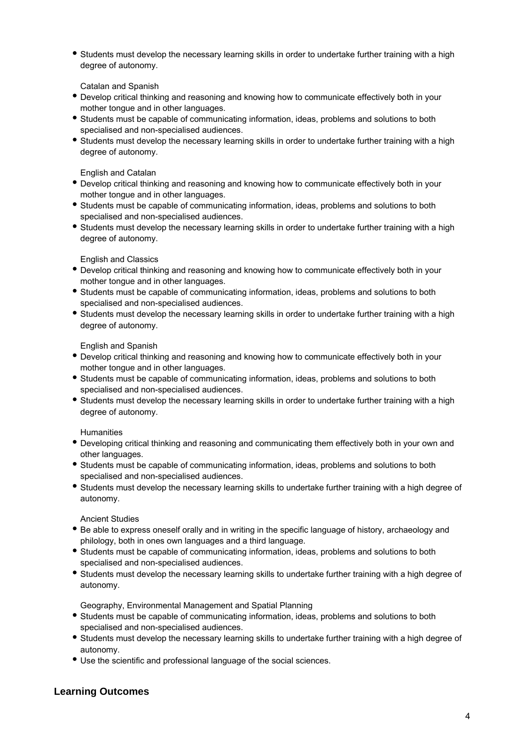Students must develop the necessary learning skills in order to undertake further training with a high degree of autonomy.

Catalan and Spanish

- Develop critical thinking and reasoning and knowing how to communicate effectively both in your mother tongue and in other languages.
- Students must be capable of communicating information, ideas, problems and solutions to both specialised and non-specialised audiences.
- Students must develop the necessary learning skills in order to undertake further training with a high degree of autonomy.

English and Catalan

- Develop critical thinking and reasoning and knowing how to communicate effectively both in your mother tongue and in other languages.
- Students must be capable of communicating information, ideas, problems and solutions to both specialised and non-specialised audiences.
- Students must develop the necessary learning skills in order to undertake further training with a high degree of autonomy.

English and Classics

- Develop critical thinking and reasoning and knowing how to communicate effectively both in your mother tongue and in other languages.
- Students must be capable of communicating information, ideas, problems and solutions to both specialised and non-specialised audiences.
- Students must develop the necessary learning skills in order to undertake further training with a high degree of autonomy.

English and Spanish

- Develop critical thinking and reasoning and knowing how to communicate effectively both in your mother tongue and in other languages.
- Students must be capable of communicating information, ideas, problems and solutions to both specialised and non-specialised audiences.
- Students must develop the necessary learning skills in order to undertake further training with a high degree of autonomy.

**Humanities** 

- Developing critical thinking and reasoning and communicating them effectively both in your own and other languages.
- Students must be capable of communicating information, ideas, problems and solutions to both specialised and non-specialised audiences.
- Students must develop the necessary learning skills to undertake further training with a high degree of autonomy.

Ancient Studies

- Be able to express oneself orally and in writing in the specific language of history, archaeology and philology, both in ones own languages and a third language.
- Students must be capable of communicating information, ideas, problems and solutions to both specialised and non-specialised audiences.
- Students must develop the necessary learning skills to undertake further training with a high degree of autonomy.

Geography, Environmental Management and Spatial Planning

- Students must be capable of communicating information, ideas, problems and solutions to both specialised and non-specialised audiences.
- Students must develop the necessary learning skills to undertake further training with a high degree of autonomy.
- Use the scientific and professional language of the social sciences.

### **Learning Outcomes**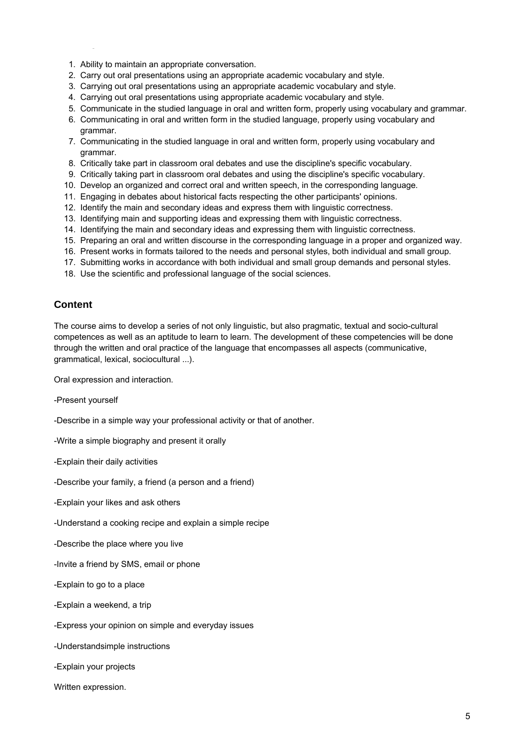- 1. Ability to maintain an appropriate conversation.
- 2. Carry out oral presentations using an appropriate academic vocabulary and style.
- 3. Carrying out oral presentations using an appropriate academic vocabulary and style.
- 4. Carrying out oral presentations using appropriate academic vocabulary and style.
- 5. Communicate in the studied language in oral and written form, properly using vocabulary and grammar.
- 6. Communicating in oral and written form in the studied language, properly using vocabulary and grammar.
- 7. Communicating in the studied language in oral and written form, properly using vocabulary and grammar.
- 8. Critically take part in classroom oral debates and use the discipline's specific vocabulary.
- 9. Critically taking part in classroom oral debates and using the discipline's specific vocabulary.
- 10. Develop an organized and correct oral and written speech, in the corresponding language.
- 11. Engaging in debates about historical facts respecting the other participants' opinions.
- 12. Identify the main and secondary ideas and express them with linguistic correctness.
- 13. Identifying main and supporting ideas and expressing them with linguistic correctness.
- 14. Identifying the main and secondary ideas and expressing them with linguistic correctness.
- 15. Preparing an oral and written discourse in the corresponding language in a proper and organized way.
- 16. Present works in formats tailored to the needs and personal styles, both individual and small group.
- 17. Submitting works in accordance with both individual and small group demands and personal styles.
- 18. Use the scientific and professional language of the social sciences.

### **Content**

The course aims to develop a series of not only linguistic, but also pragmatic, textual and socio-cultural competences as well as an aptitude to learn to learn. The development of these competencies will be done through the written and oral practice of the language that encompasses all aspects (communicative, grammatical, lexical, sociocultural ...).

Oral expression and interaction.

-Present yourself

-Describe in a simple way your professional activity or that of another.

-Write a simple biography and present it orally

-Explain their daily activities

-Describe your family, a friend (a person and a friend)

-Explain your likes and ask others

-Understand a cooking recipe and explain a simple recipe

-Describe the place where you live

-Invite a friend by SMS, email or phone

-Explain to go to a place

-Explain a weekend, a trip

-Express your opinion on simple and everyday issues

-Understandsimple instructions

-Explain your projects

Written expression.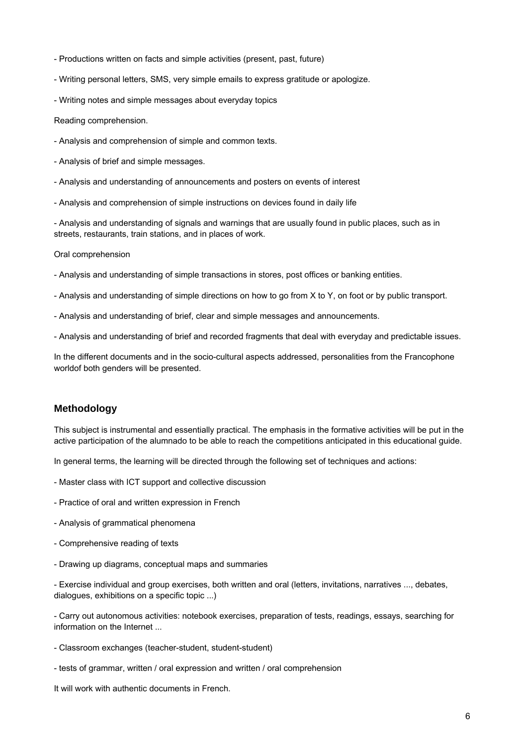- Productions written on facts and simple activities (present, past, future)
- Writing personal letters, SMS, very simple emails to express gratitude or apologize.
- Writing notes and simple messages about everyday topics

Reading comprehension.

- Analysis and comprehension of simple and common texts.
- Analysis of brief and simple messages.
- Analysis and understanding of announcements and posters on events of interest
- Analysis and comprehension of simple instructions on devices found in daily life

- Analysis and understanding of signals and warnings that are usually found in public places, such as in streets, restaurants, train stations, and in places of work.

Oral comprehension

- Analysis and understanding of simple transactions in stores, post offices or banking entities.
- Analysis and understanding of simple directions on how to go from X to Y, on foot or by public transport.
- Analysis and understanding of brief, clear and simple messages and announcements.
- Analysis and understanding of brief and recorded fragments that deal with everyday and predictable issues.

In the different documents and in the socio-cultural aspects addressed, personalities from the Francophone worldof both genders will be presented.

#### **Methodology**

This subject is instrumental and essentially practical. The emphasis in the formative activities will be put in the active participation of the alumnado to be able to reach the competitions anticipated in this educational guide.

In general terms, the learning will be directed through the following set of techniques and actions:

- Master class with ICT support and collective discussion
- Practice of oral and written expression in French
- Analysis of grammatical phenomena
- Comprehensive reading of texts
- Drawing up diagrams, conceptual maps and summaries

- Exercise individual and group exercises, both written and oral (letters, invitations, narratives ..., debates, dialogues, exhibitions on a specific topic ...)

- Carry out autonomous activities: notebook exercises, preparation of tests, readings, essays, searching for information on the Internet ...

- Classroom exchanges (teacher-student, student-student)
- tests of grammar, written / oral expression and written / oral comprehension

It will work with authentic documents in French.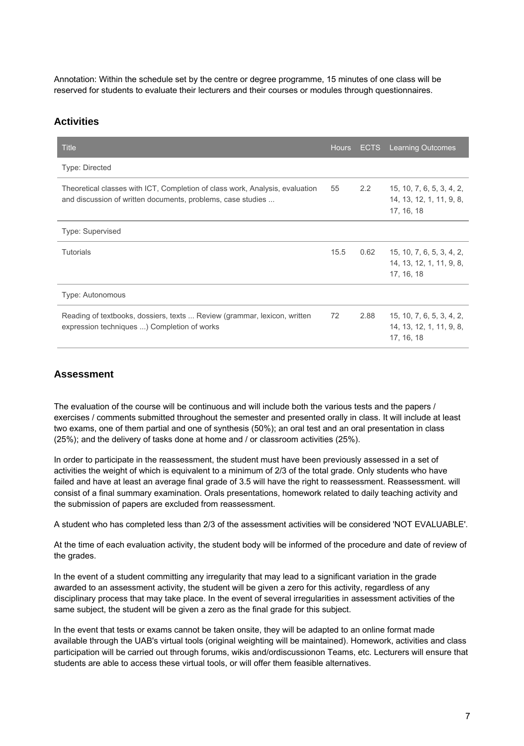Annotation: Within the schedule set by the centre or degree programme, 15 minutes of one class will be reserved for students to evaluate their lecturers and their courses or modules through questionnaires.

#### **Activities**

| <b>Title</b>                                                                                                                                | <b>Hours</b> | <b>ECTS</b>   | <b>Learning Outcomes</b>                                            |
|---------------------------------------------------------------------------------------------------------------------------------------------|--------------|---------------|---------------------------------------------------------------------|
| <b>Type: Directed</b>                                                                                                                       |              |               |                                                                     |
| Theoretical classes with ICT, Completion of class work, Analysis, evaluation<br>and discussion of written documents, problems, case studies | 55           | $2.2^{\circ}$ | 15, 10, 7, 6, 5, 3, 4, 2,<br>14, 13, 12, 1, 11, 9, 8,<br>17, 16, 18 |
| <b>Type: Supervised</b>                                                                                                                     |              |               |                                                                     |
| <b>Tutorials</b>                                                                                                                            | 15.5         | 0.62          | 15, 10, 7, 6, 5, 3, 4, 2,<br>14, 13, 12, 1, 11, 9, 8,<br>17, 16, 18 |
| Type: Autonomous                                                                                                                            |              |               |                                                                     |
| Reading of textbooks, dossiers, texts  Review (grammar, lexicon, written<br>expression techniques ) Completion of works                     | 72           | 2.88          | 15, 10, 7, 6, 5, 3, 4, 2,<br>14, 13, 12, 1, 11, 9, 8,<br>17, 16, 18 |

### **Assessment**

The evaluation of the course will be continuous and will include both the various tests and the papers / exercises / comments submitted throughout the semester and presented orally in class. It will include at least two exams, one of them partial and one of synthesis (50%); an oral test and an oral presentation in class (25%); and the delivery of tasks done at home and / or classroom activities (25%).

In order to participate in the reassessment, the student must have been previously assessed in a set of activities the weight of which is equivalent to a minimum of 2/3 of the total grade. Only students who have failed and have at least an average final grade of 3.5 will have the right to reassessment. Reassessment. will consist of a final summary examination. Orals presentations, homework related to daily teaching activity and the submission of papers are excluded from reassessment.

A student who has completed less than 2/3 of the assessment activities will be considered 'NOT EVALUABLE'.

At the time of each evaluation activity, the student body will be informed of the procedure and date of review of the grades.

In the event of a student committing any irregularity that may lead to a significant variation in the grade awarded to an assessment activity, the student will be given a zero for this activity, regardless of any disciplinary process that may take place. In the event of several irregularities in assessment activities of the same subject, the student will be given a zero as the final grade for this subject.

In the event that tests or exams cannot be taken onsite, they will be adapted to an online format made available through the UAB's virtual tools (original weighting will be maintained). Homework, activities and class participation will be carried out through forums, wikis and/ordiscussionon Teams, etc. Lecturers will ensure that students are able to access these virtual tools, or will offer them feasible alternatives.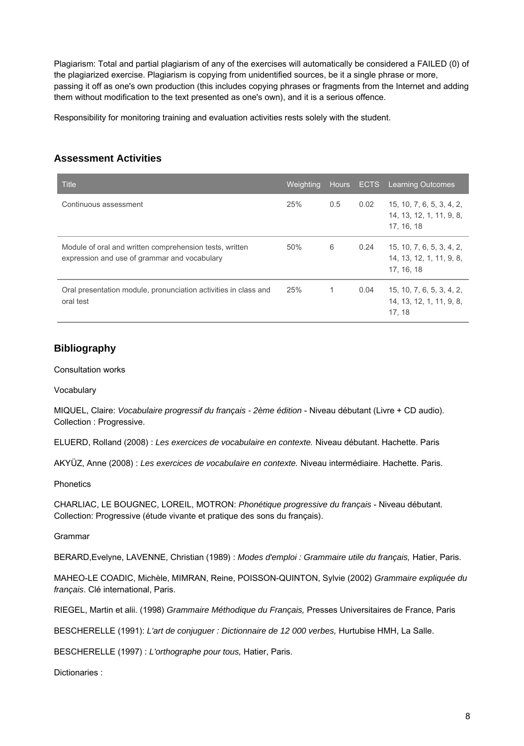Plagiarism: Total and partial plagiarism of any of the exercises will automatically be considered a FAILED (0) of the plagiarized exercise. Plagiarism is copying from unidentified sources, be it a single phrase or more, passing it off as one's own production (this includes copying phrases or fragments from the Internet and adding them without modification to the text presented as one's own), and it is a serious offence.

Responsibility for monitoring training and evaluation activities rests solely with the student.

# **Assessment Activities**

| <b>Title</b>                                                                                            | Weighting |     |      | Hours ECTS Learning Outcomes                                        |
|---------------------------------------------------------------------------------------------------------|-----------|-----|------|---------------------------------------------------------------------|
| Continuous assessment                                                                                   | 25%       | 0.5 | 0.02 | 15, 10, 7, 6, 5, 3, 4, 2,<br>14, 13, 12, 1, 11, 9, 8,<br>17, 16, 18 |
| Module of oral and written comprehension tests, written<br>expression and use of grammar and vocabulary | 50%       | 6   | 0.24 | 15, 10, 7, 6, 5, 3, 4, 2,<br>14, 13, 12, 1, 11, 9, 8,<br>17.16.18   |
| Oral presentation module, pronunciation activities in class and<br>oral test                            | 25%       |     | 0.04 | 15, 10, 7, 6, 5, 3, 4, 2,<br>14, 13, 12, 1, 11, 9, 8,<br>17.18      |

# **Bibliography**

Consultation works

**Vocabulary** 

MIQUEL, Claire: Vocabulaire progressif du français - 2ème édition - Niveau débutant (Livre + CD audio). Collection : Progressive.

ELUERD, Rolland (2008) : Les exercices de vocabulaire en contexte. Niveau débutant. Hachette. Paris

AKYÜZ, Anne (2008) : Les exercices de vocabulaire en contexte. Niveau intermédiaire. Hachette. Paris.

**Phonetics** 

CHARLIAC, LE BOUGNEC, LOREIL, MOTRON: Phonétique progressive du français - Niveau débutant. Collection: Progressive (étude vivante et pratique des sons du français).

Grammar

BERARD,Evelyne, LAVENNE, Christian (1989) : Modes d'emploi : Grammaire utile du français, Hatier, Paris.

MAHEO-LE COADIC, Michèle, MIMRAN, Reine, POISSON-QUINTON, Sylvie (2002) Grammaire expliquée du français. Clé international, Paris.

RIEGEL, Martin et alii. (1998) Grammaire Méthodique du Français, Presses Universitaires de France, Paris

BESCHERELLE (1991): L'art de conjuguer : Dictionnaire de 12 000 verbes, Hurtubise HMH, La Salle.

BESCHERELLE (1997) : L'orthographe pour tous, Hatier, Paris.

Dictionaries :